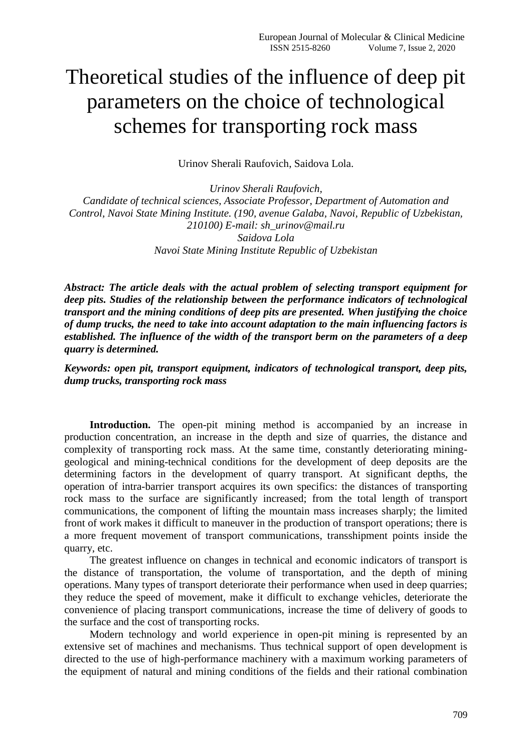## Theoretical studies of the influence of deep pit parameters on the choice of technological schemes for transporting rock mass

Urinov Sherali Raufovich, Saidova Lola.

*Urinov Sherali Raufovich, Candidate of technical sciences, Associate Professor, Department of Automation and Control, Navoi State Mining Institute. (190, avenue Galaba, Navoi, Republic of Uzbekistan, 210100) E-mail: [sh\\_urinov@mail.ru](mailto:sh_urinov@mail.ru) Saidova Lola Navoi State Mining Institute Republic of Uzbekistan*

*Abstract: The article deals with the actual problem of selecting transport equipment for deep pits. Studies of the relationship between the performance indicators of technological transport and the mining conditions of deep pits are presented. When justifying the choice of dump trucks, the need to take into account adaptation to the main influencing factors is established. The influence of the width of the transport berm on the parameters of a deep quarry is determined.*

*Keywords: open pit, transport equipment, indicators of technological transport, deep pits, dump trucks, transporting rock mass*

**Introduction.** The open-pit mining method is accompanied by an increase in production concentration, an increase in the depth and size of quarries, the distance and complexity of transporting rock mass. At the same time, constantly deteriorating mininggeological and mining-technical conditions for the development of deep deposits are the determining factors in the development of quarry transport. At significant depths, the operation of intra-barrier transport acquires its own specifics: the distances of transporting rock mass to the surface are significantly increased; from the total length of transport communications, the component of lifting the mountain mass increases sharply; the limited front of work makes it difficult to maneuver in the production of transport operations; there is a more frequent movement of transport communications, transshipment points inside the quarry, etc.

The greatest influence on changes in technical and economic indicators of transport is the distance of transportation, the volume of transportation, and the depth of mining operations. Many types of transport deteriorate their performance when used in deep quarries; they reduce the speed of movement, make it difficult to exchange vehicles, deteriorate the convenience of placing transport communications, increase the time of delivery of goods to the surface and the cost of transporting rocks.

Modern technology and world experience in open-pit mining is represented by an extensive set of machines and mechanisms. Thus technical support of open development is directed to the use of high-performance machinery with a maximum working parameters of the equipment of natural and mining conditions of the fields and their rational combination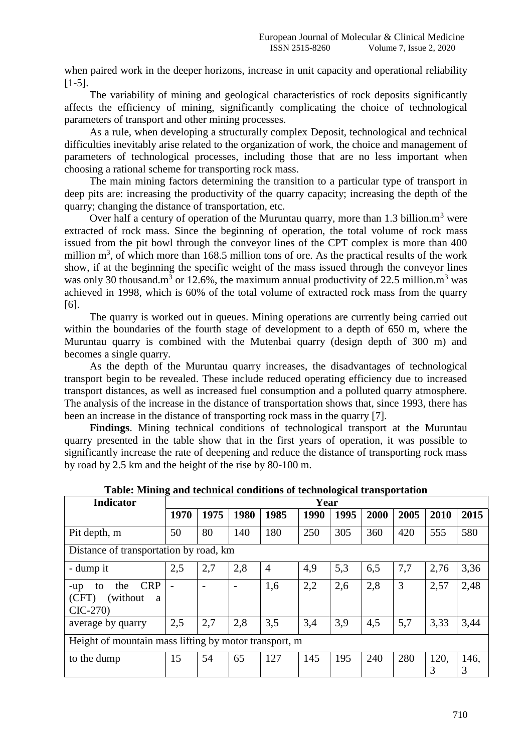when paired work in the deeper horizons, increase in unit capacity and operational reliability [1-5].

The variability of mining and geological characteristics of rock deposits significantly affects the efficiency of mining, significantly complicating the choice of technological parameters of transport and other mining processes.

As a rule, when developing a structurally complex Deposit, technological and technical difficulties inevitably arise related to the organization of work, the choice and management of parameters of technological processes, including those that are no less important when choosing a rational scheme for transporting rock mass.

The main mining factors determining the transition to a particular type of transport in deep pits are: increasing the productivity of the quarry capacity; increasing the depth of the quarry; changing the distance of transportation, etc.

Over half a century of operation of the Muruntau quarry, more than 1.3 billion. $m<sup>3</sup>$  were extracted of rock mass. Since the beginning of operation, the total volume of rock mass issued from the pit bowl through the conveyor lines of the CPT complex is more than 400 million  $m<sup>3</sup>$ , of which more than 168.5 million tons of ore. As the practical results of the work show, if at the beginning the specific weight of the mass issued through the conveyor lines was only 30 thousand.m<sup>3</sup> or 12.6%, the maximum annual productivity of 22.5 million.m<sup>3</sup> was achieved in 1998, which is 60% of the total volume of extracted rock mass from the quarry [6].

The quarry is worked out in queues. Mining operations are currently being carried out within the boundaries of the fourth stage of development to a depth of 650 m, where the Muruntau quarry is combined with the Mutenbai quarry (design depth of 300 m) and becomes a single quarry.

As the depth of the Muruntau quarry increases, the disadvantages of technological transport begin to be revealed. These include reduced operating efficiency due to increased transport distances, as well as increased fuel consumption and a polluted quarry atmosphere. The analysis of the increase in the distance of transportation shows that, since 1993, there has been an increase in the distance of transporting rock mass in the quarry [7].

**Findings**. Mining technical conditions of technological transport at the Muruntau quarry presented in the table show that in the first years of operation, it was possible to significantly increase the rate of deepening and reduce the distance of transporting rock mass by road by 2.5 km and the height of the rise by 80-100 m.

| <b>Indicator</b>                                                       | Year                     |                          |                          |      |      |      |      |      |           |           |  |
|------------------------------------------------------------------------|--------------------------|--------------------------|--------------------------|------|------|------|------|------|-----------|-----------|--|
|                                                                        | 1970                     | 1975                     | 1980                     | 1985 | 1990 | 1995 | 2000 | 2005 | 2010      | 2015      |  |
| Pit depth, m                                                           | 50                       | 80                       | 140                      | 180  | 250  | 305  | 360  | 420  | 555       | 580       |  |
| Distance of transportation by road, km                                 |                          |                          |                          |      |      |      |      |      |           |           |  |
| - dump it                                                              | 2,5                      | 2,7                      | 2,8                      | 4    | 4,9  | 5,3  | 6,5  | 7,7  | 2,76      | 3,36      |  |
| <b>CRP</b><br>the<br>to<br>-up<br>(without)<br>(CFT)<br>a<br>$CIC-270$ | $\overline{\phantom{0}}$ | $\overline{\phantom{a}}$ | $\overline{\phantom{0}}$ | 1,6  | 2,2  | 2,6  | 2,8  | 3    | 2,57      | 2,48      |  |
| average by quarry                                                      | 2,5                      | 2,7                      | 2,8                      | 3,5  | 3,4  | 3,9  | 4,5  | 5,7  | 3,33      | 3,44      |  |
| Height of mountain mass lifting by motor transport, m                  |                          |                          |                          |      |      |      |      |      |           |           |  |
| to the dump                                                            | 15                       | 54                       | 65                       | 127  | 145  | 195  | 240  | 280  | 120.<br>3 | 146,<br>3 |  |

**Table: Mining and technical conditions of technological transportation**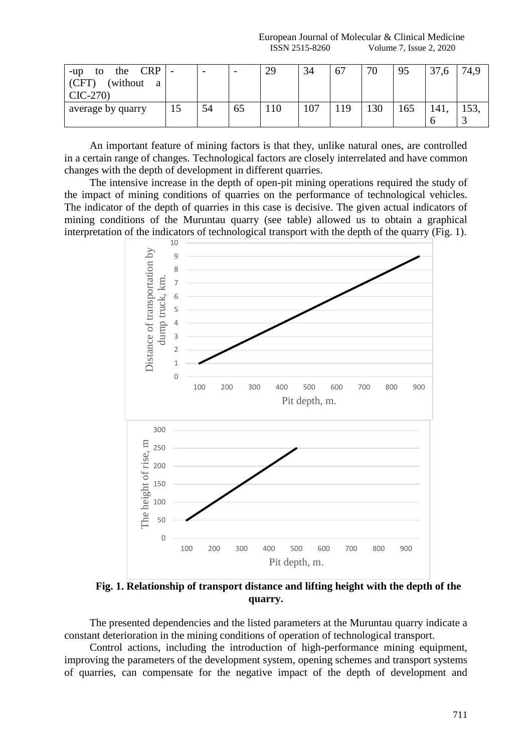European Journal of Molecular & Clinical Medicine ISSN 2515-8260 Volume 7, Issue 2, 2020

| <b>CRP</b><br>the<br>$-u$ p<br>to<br>(without)<br>(CFT)<br>a<br>$CIC-270$ |    | $\overline{\phantom{0}}$ |    | 29 | 34  | 67  | 70  | 95  | 27.<br>37,6 |  |
|---------------------------------------------------------------------------|----|--------------------------|----|----|-----|-----|-----|-----|-------------|--|
| average by quarry                                                         | L) | 54                       | 65 |    | 107 | 119 | 130 | 165 | 141.        |  |

An important feature of mining factors is that they, unlike natural ones, are controlled in a certain range of changes. Technological factors are closely interrelated and have common changes with the depth of development in different quarries.

The intensive increase in the depth of open-pit mining operations required the study of the impact of mining conditions of quarries on the performance of technological vehicles. The indicator of the depth of quarries in this case is decisive. The given actual indicators of mining conditions of the Muruntau quarry (see table) allowed us to obtain a graphical interpretation of the indicators of technological transport with the depth of the quarry (Fig. 1).



**Fig. 1. Relationship of transport distance and lifting height with the depth of the quarry.**

The presented dependencies and the listed parameters at the Muruntau quarry indicate a constant deterioration in the mining conditions of operation of technological transport.

Control actions, including the introduction of high-performance mining equipment, improving the parameters of the development system, opening schemes and transport systems of quarries, can compensate for the negative impact of the depth of development and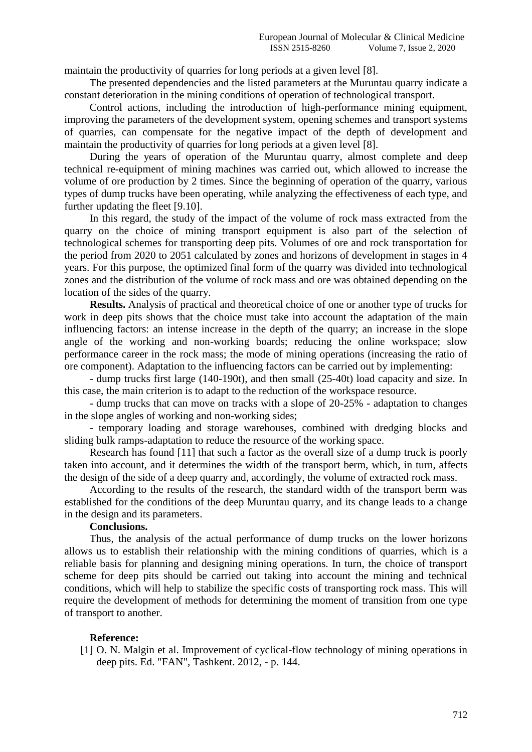maintain the productivity of quarries for long periods at a given level [8].

The presented dependencies and the listed parameters at the Muruntau quarry indicate a constant deterioration in the mining conditions of operation of technological transport.

Control actions, including the introduction of high-performance mining equipment, improving the parameters of the development system, opening schemes and transport systems of quarries, can compensate for the negative impact of the depth of development and maintain the productivity of quarries for long periods at a given level [8].

During the years of operation of the Muruntau quarry, almost complete and deep technical re-equipment of mining machines was carried out, which allowed to increase the volume of ore production by 2 times. Since the beginning of operation of the quarry, various types of dump trucks have been operating, while analyzing the effectiveness of each type, and further updating the fleet [9.10].

In this regard, the study of the impact of the volume of rock mass extracted from the quarry on the choice of mining transport equipment is also part of the selection of technological schemes for transporting deep pits. Volumes of ore and rock transportation for the period from 2020 to 2051 calculated by zones and horizons of development in stages in 4 years. For this purpose, the optimized final form of the quarry was divided into technological zones and the distribution of the volume of rock mass and ore was obtained depending on the location of the sides of the quarry.

**Results.** Analysis of practical and theoretical choice of one or another type of trucks for work in deep pits shows that the choice must take into account the adaptation of the main influencing factors: an intense increase in the depth of the quarry; an increase in the slope angle of the working and non-working boards; reducing the online workspace; slow performance career in the rock mass; the mode of mining operations (increasing the ratio of ore component). Adaptation to the influencing factors can be carried out by implementing:

- dump trucks first large (140-190t), and then small (25-40t) load capacity and size. In this case, the main criterion is to adapt to the reduction of the workspace resource.

- dump trucks that can move on tracks with a slope of 20-25% - adaptation to changes in the slope angles of working and non-working sides;

- temporary loading and storage warehouses, combined with dredging blocks and sliding bulk ramps-adaptation to reduce the resource of the working space.

Research has found [11] that such a factor as the overall size of a dump truck is poorly taken into account, and it determines the width of the transport berm, which, in turn, affects the design of the side of a deep quarry and, accordingly, the volume of extracted rock mass.

According to the results of the research, the standard width of the transport berm was established for the conditions of the deep Muruntau quarry, and its change leads to a change in the design and its parameters.

## **Conclusions.**

Thus, the analysis of the actual performance of dump trucks on the lower horizons allows us to establish their relationship with the mining conditions of quarries, which is a reliable basis for planning and designing mining operations. In turn, the choice of transport scheme for deep pits should be carried out taking into account the mining and technical conditions, which will help to stabilize the specific costs of transporting rock mass. This will require the development of methods for determining the moment of transition from one type of transport to another.

## **Reference:**

[1] O. N. Malgin et al. Improvement of cyclical-flow technology of mining operations in deep pits. Ed. "FAN", Tashkent. 2012, - p. 144.